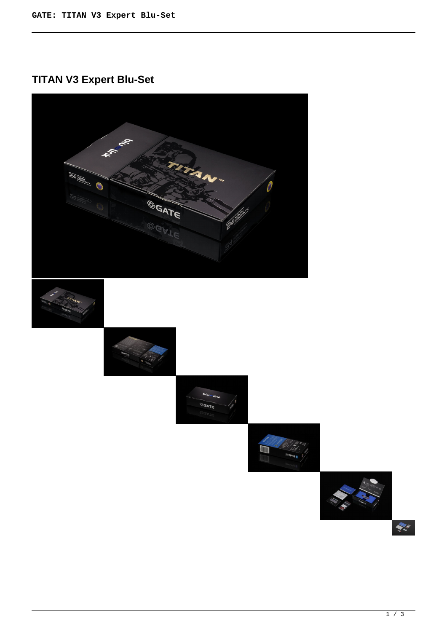## **TITAN V3 Expert Blu-Set**



 $\sum_{i=1}^{n} \hat{f}_i^{\text{in}}$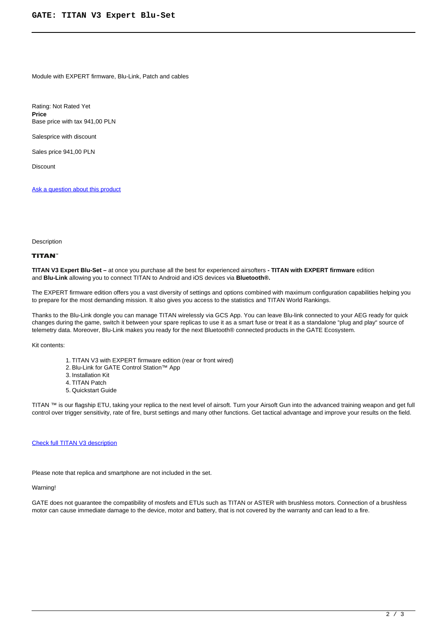Module with EXPERT firmware, Blu-Link, Patch and cables

Rating: Not Rated Yet **Price**  Base price with tax 941,00 PLN

Salesprice with discount

Sales price 941,00 PLN

**Discount** 

[Ask a question about this product](https://gatee.eu/index.php?option=com_virtuemart&view=productdetails&task=askquestion&virtuemart_product_id=65&virtuemart_category_id=1&tmpl=component)

Description

## **TITAN**

**TITAN V3 Expert Blu-Set –** at once you purchase all the best for experienced airsofters **- TITAN with EXPERT firmware** edition and **Blu-Link** allowing you to connect TITAN to Android and iOS devices via **Bluetooth®.**

The EXPERT firmware edition offers you a vast diversity of settings and options combined with maximum configuration capabilities helping you to prepare for the most demanding mission. It also gives you access to the statistics and TITAN World Rankings.

Thanks to the Blu-Link dongle you can manage TITAN wirelessly via GCS App. You can leave Blu-link connected to your AEG ready for quick changes during the game, switch it between your spare replicas to use it as a smart fuse or treat it as a standalone "plug and play" source of telemetry data. Moreover, Blu-Link makes you ready for the next Bluetooth® connected products in the GATE Ecosystem.

Kit contents:

- 1. TITAN V3 with EXPERT firmware edition (rear or front wired)
- 2. Blu-Link for GATE Control Station™ App
- 3. Installation Kit
- 4. TITAN Patch
- 5. Quickstart Guide

TITAN ™ is our flagship ETU, taking your replica to the next level of airsoft. Turn your Airsoft Gun into the advanced training weapon and get full control over trigger sensitivity, rate of fire, burst settings and many other functions. Get tactical advantage and improve your results on the field.

## [Check full TITAN V3 description](products/titan/titan-v3)

Please note that replica and smartphone are not included in the set.

Warning!

GATE does not guarantee the compatibility of mosfets and ETUs such as TITAN or ASTER with brushless motors. Connection of a brushless motor can cause immediate damage to the device, motor and battery, that is not covered by the warranty and can lead to a fire.